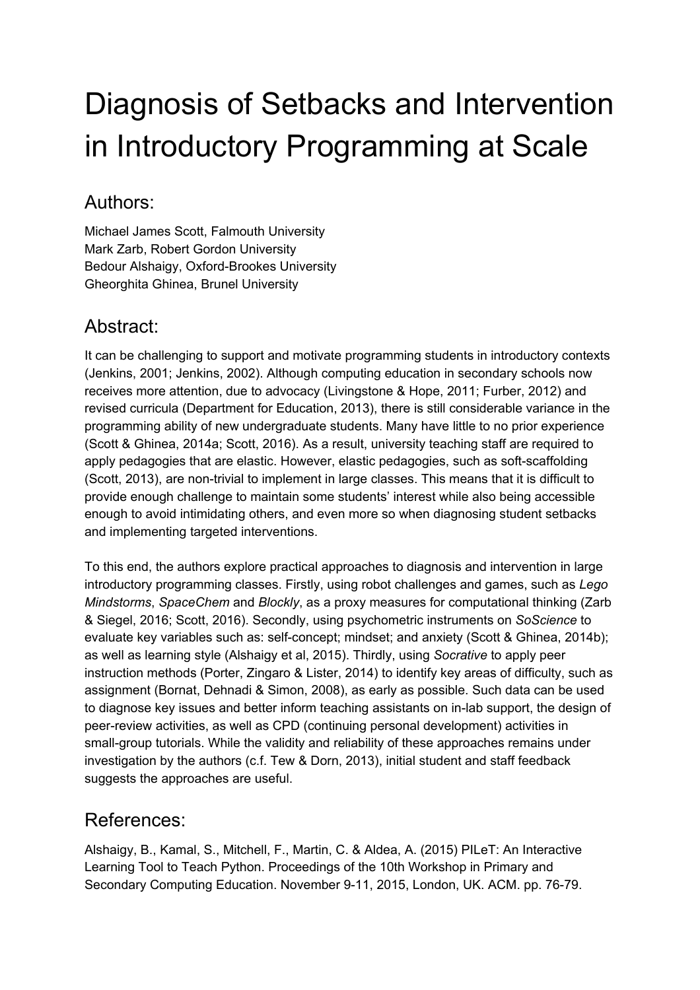## Diagnosis of Setbacks and Intervention in Introductory Programming at Scale

## Authors:

Michael James Scott, Falmouth University Mark Zarb, Robert Gordon University Bedour Alshaigy, Oxford-Brookes University Gheorghita Ghinea, Brunel University

## Abstract:

It can be challenging to support and motivate programming students in introductory contexts (Jenkins, 2001; Jenkins, 2002). Although computing education in secondary schools now receives more attention, due to advocacy (Livingstone & Hope, 2011; Furber, 2012) and revised curricula (Department for Education, 2013), there is still considerable variance in the programming ability of new undergraduate students. Many have little to no prior experience (Scott & Ghinea, 2014a; Scott, 2016). As a result, university teaching staff are required to apply pedagogies that are elastic. However, elastic pedagogies, such as soft-scaffolding (Scott, 2013), are non-trivial to implement in large classes. This means that it is difficult to provide enough challenge to maintain some students' interest while also being accessible enough to avoid intimidating others, and even more so when diagnosing student setbacks and implementing targeted interventions.

To this end, the authors explore practical approaches to diagnosis and intervention in large introductory programming classes. Firstly, using robot challenges and games, such as *Lego Mindstorms*, *SpaceChem* and *Blockly*, as a proxy measures for computational thinking (Zarb & Siegel, 2016; Scott, 2016). Secondly, using psychometric instruments on *SoScience* to evaluate key variables such as: self-concept; mindset; and anxiety (Scott & Ghinea, 2014b); as well as learning style (Alshaigy et al, 2015). Thirdly, using *Socrative* to apply peer instruction methods (Porter, Zingaro & Lister, 2014) to identify key areas of difficulty, such as assignment (Bornat, Dehnadi & Simon, 2008), as early as possible. Such data can be used to diagnose key issues and better inform teaching assistants on in-lab support, the design of peer-review activities, as well as CPD (continuing personal development) activities in small-group tutorials. While the validity and reliability of these approaches remains under investigation by the authors (c.f. Tew & Dorn, 2013), initial student and staff feedback suggests the approaches are useful.

## References:

Alshaigy, B., Kamal, S., Mitchell, F., Martin, C. & Aldea, A. (2015) PILeT: An Interactive Learning Tool to Teach Python. Proceedings of the 10th Workshop in Primary and Secondary Computing Education. November 9-11, 2015, London, UK. ACM. pp. 76-79.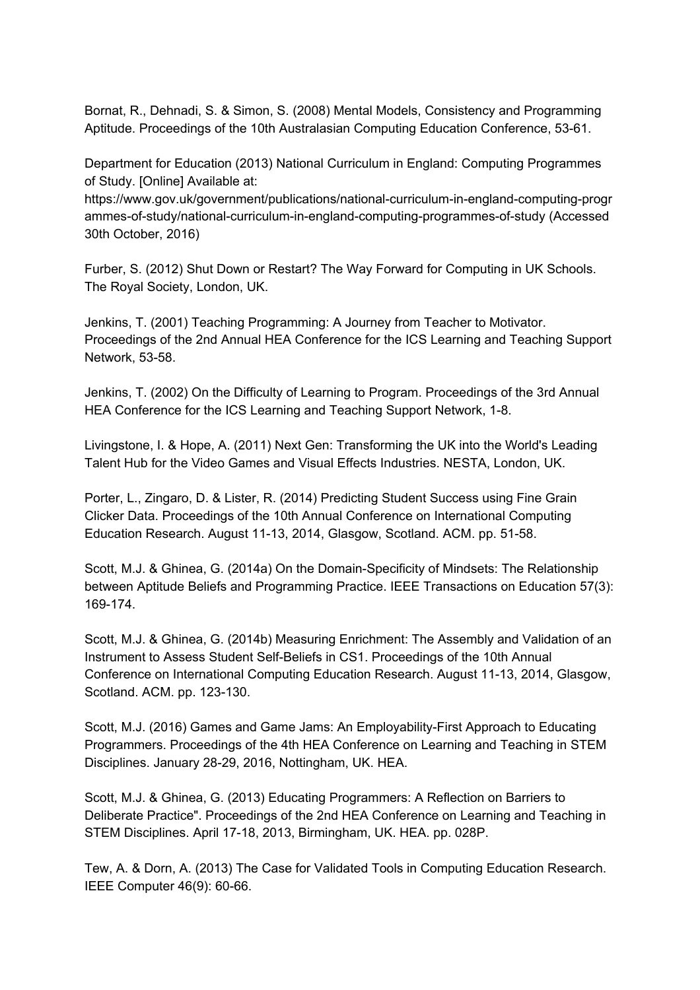Bornat, R., Dehnadi, S. & Simon, S. (2008) Mental Models, Consistency and Programming Aptitude. Proceedings of the 10th Australasian Computing Education Conference, 53-61.

Department for Education (2013) National Curriculum in England: Computing Programmes of Study. [Online] Available at:

https://www.gov.uk/government/publications/national-curriculum-in-england-computing-progr ammes-of-study/national-curriculum-in-england-computing-programmes-of-study (Accessed 30th October, 2016)

Furber, S. (2012) Shut Down or Restart? The Way Forward for Computing in UK Schools. The Royal Society, London, UK.

Jenkins, T. (2001) Teaching Programming: A Journey from Teacher to Motivator. Proceedings of the 2nd Annual HEA Conference for the ICS Learning and Teaching Support Network, 53-58.

Jenkins, T. (2002) On the Difficulty of Learning to Program. Proceedings of the 3rd Annual HEA Conference for the ICS Learning and Teaching Support Network, 1-8.

Livingstone, I. & Hope, A. (2011) Next Gen: Transforming the UK into the World's Leading Talent Hub for the Video Games and Visual Effects Industries. NESTA, London, UK.

Porter, L., Zingaro, D. & Lister, R. (2014) Predicting Student Success using Fine Grain Clicker Data. Proceedings of the 10th Annual Conference on International Computing Education Research. August 11-13, 2014, Glasgow, Scotland. ACM. pp. 51-58.

Scott, M.J. & Ghinea, G. (2014a) On the Domain-Specificity of Mindsets: The Relationship between Aptitude Beliefs and Programming Practice. IEEE Transactions on Education 57(3): 169-174.

Scott, M.J. & Ghinea, G. (2014b) Measuring Enrichment: The Assembly and Validation of an Instrument to Assess Student Self-Beliefs in CS1. Proceedings of the 10th Annual Conference on International Computing Education Research. August 11-13, 2014, Glasgow, Scotland. ACM. pp. 123-130.

Scott, M.J. (2016) Games and Game Jams: An Employability-First Approach to Educating Programmers. Proceedings of the 4th HEA Conference on Learning and Teaching in STEM Disciplines. January 28-29, 2016, Nottingham, UK. HEA.

Scott, M.J. & Ghinea, G. (2013) Educating Programmers: A Reflection on Barriers to Deliberate Practice". Proceedings of the 2nd HEA Conference on Learning and Teaching in STEM Disciplines. April 17-18, 2013, Birmingham, UK. HEA. pp. 028P.

Tew, A. & Dorn, A. (2013) The Case for Validated Tools in Computing Education Research. IEEE Computer 46(9): 60-66.